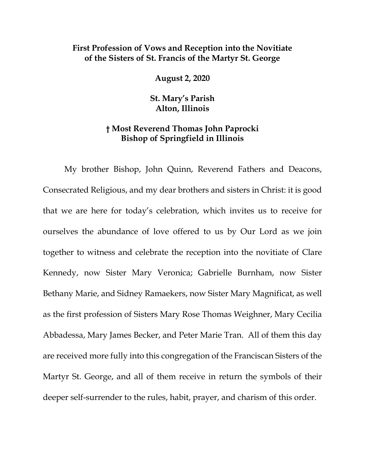## **First Profession of Vows and Reception into the Novitiate of the Sisters of St. Francis of the Martyr St. George**

**August 2, 2020**

**St. Mary's Parish Alton, Illinois**

## **† Most Reverend Thomas John Paprocki Bishop of Springfield in Illinois**

My brother Bishop, John Quinn, Reverend Fathers and Deacons, Consecrated Religious, and my dear brothers and sisters in Christ: it is good that we are here for today's celebration, which invites us to receive for ourselves the abundance of love offered to us by Our Lord as we join together to witness and celebrate the reception into the novitiate of Clare Kennedy, now Sister Mary Veronica; Gabrielle Burnham, now Sister Bethany Marie, and Sidney Ramaekers, now Sister Mary Magnificat, as well as the first profession of Sisters Mary Rose Thomas Weighner, Mary Cecilia Abbadessa, Mary James Becker, and Peter Marie Tran. All of them this day are received more fully into this congregation of the Franciscan Sisters of the Martyr St. George, and all of them receive in return the symbols of their deeper self-surrender to the rules, habit, prayer, and charism of this order.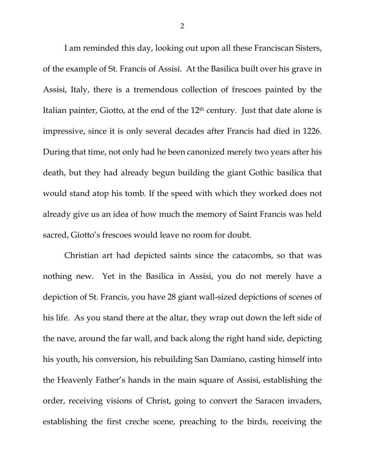I am reminded this day, looking out upon all these Franciscan Sisters, of the example of St. Francis of Assisi. At the Basilica built over his grave in Assisi, Italy, there is a tremendous collection of frescoes painted by the Italian painter, Giotto, at the end of the 12<sup>th</sup> century. Just that date alone is impressive, since it is only several decades after Francis had died in 1226. During that time, not only had he been canonized merely two years after his death, but they had already begun building the giant Gothic basilica that would stand atop his tomb. If the speed with which they worked does not already give us an idea of how much the memory of Saint Francis was held sacred, Giotto's frescoes would leave no room for doubt.

Christian art had depicted saints since the catacombs, so that was nothing new. Yet in the Basilica in Assisi, you do not merely have a depiction of St. Francis, you have 28 giant wall-sized depictions of scenes of his life. As you stand there at the altar, they wrap out down the left side of the nave, around the far wall, and back along the right hand side, depicting his youth, his conversion, his rebuilding San Damiano, casting himself into the Heavenly Father's hands in the main square of Assisi, establishing the order, receiving visions of Christ, going to convert the Saracen invaders, establishing the first creche scene, preaching to the birds, receiving the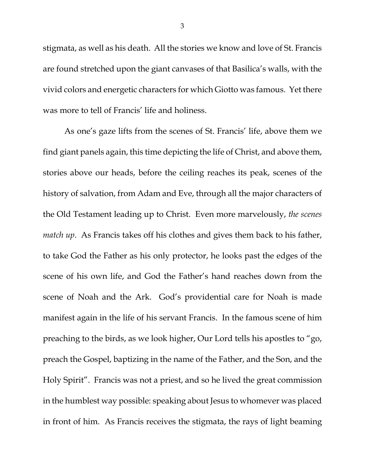stigmata, as well as his death. All the stories we know and love of St. Francis are found stretched upon the giant canvases of that Basilica's walls, with the vivid colors and energetic characters for which Giotto was famous. Yet there was more to tell of Francis' life and holiness.

As one's gaze lifts from the scenes of St. Francis' life, above them we find giant panels again, this time depicting the life of Christ, and above them, stories above our heads, before the ceiling reaches its peak, scenes of the history of salvation, from Adam and Eve, through all the major characters of the Old Testament leading up to Christ. Even more marvelously, *the scenes match up*. As Francis takes off his clothes and gives them back to his father, to take God the Father as his only protector, he looks past the edges of the scene of his own life, and God the Father's hand reaches down from the scene of Noah and the Ark. God's providential care for Noah is made manifest again in the life of his servant Francis. In the famous scene of him preaching to the birds, as we look higher, Our Lord tells his apostles to "go, preach the Gospel, baptizing in the name of the Father, and the Son, and the Holy Spirit". Francis was not a priest, and so he lived the great commission in the humblest way possible: speaking about Jesus to whomever was placed in front of him. As Francis receives the stigmata, the rays of light beaming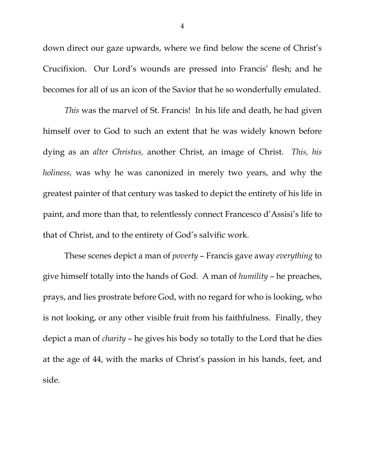down direct our gaze upwards, where we find below the scene of Christ's Crucifixion. Our Lord's wounds are pressed into Francis' flesh; and he becomes for all of us an icon of the Savior that he so wonderfully emulated.

*This* was the marvel of St. Francis! In his life and death, he had given himself over to God to such an extent that he was widely known before dying as an *alter Christus,* another Christ, an image of Christ. *This, his holiness,* was why he was canonized in merely two years, and why the greatest painter of that century was tasked to depict the entirety of his life in paint, and more than that, to relentlessly connect Francesco d'Assisi's life to that of Christ, and to the entirety of God's salvific work.

These scenes depict a man of *poverty* – Francis gave away *everything* to give himself totally into the hands of God. A man of *humility* – he preaches, prays, and lies prostrate before God, with no regard for who is looking, who is not looking, or any other visible fruit from his faithfulness. Finally, they depict a man of *charity* – he gives his body so totally to the Lord that he dies at the age of 44, with the marks of Christ's passion in his hands, feet, and side.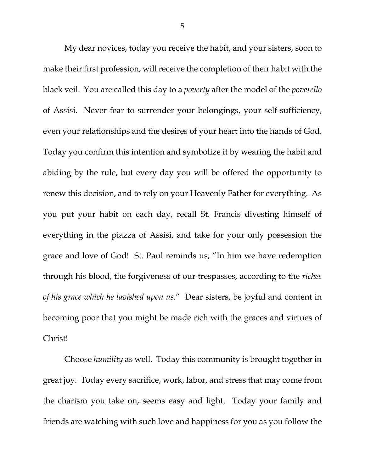My dear novices, today you receive the habit, and your sisters, soon to make their first profession, will receive the completion of their habit with the black veil. You are called this day to a *poverty* after the model of the *poverello*  of Assisi. Never fear to surrender your belongings, your self-sufficiency, even your relationships and the desires of your heart into the hands of God. Today you confirm this intention and symbolize it by wearing the habit and abiding by the rule, but every day you will be offered the opportunity to renew this decision, and to rely on your Heavenly Father for everything. As you put your habit on each day, recall St. Francis divesting himself of everything in the piazza of Assisi, and take for your only possession the grace and love of God! St. Paul reminds us, "In him we have redemption through his blood, the forgiveness of our trespasses, according to the *riches of his grace which he lavished upon us*." Dear sisters, be joyful and content in becoming poor that you might be made rich with the graces and virtues of Christ!

Choose *humility* as well. Today this community is brought together in great joy. Today every sacrifice, work, labor, and stress that may come from the charism you take on, seems easy and light. Today your family and friends are watching with such love and happiness for you as you follow the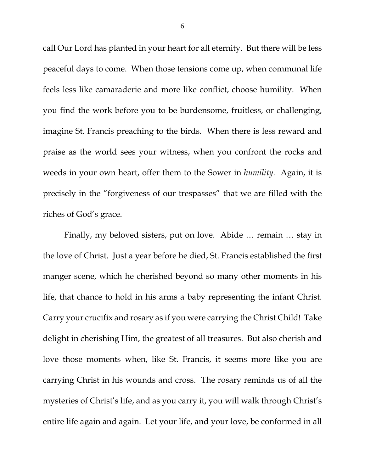call Our Lord has planted in your heart for all eternity. But there will be less peaceful days to come. When those tensions come up, when communal life feels less like camaraderie and more like conflict, choose humility. When you find the work before you to be burdensome, fruitless, or challenging, imagine St. Francis preaching to the birds. When there is less reward and praise as the world sees your witness, when you confront the rocks and weeds in your own heart, offer them to the Sower in *humility.* Again, it is precisely in the "forgiveness of our trespasses" that we are filled with the riches of God's grace.

Finally, my beloved sisters, put on love. Abide … remain … stay in the love of Christ. Just a year before he died, St. Francis established the first manger scene, which he cherished beyond so many other moments in his life, that chance to hold in his arms a baby representing the infant Christ. Carry your crucifix and rosary as if you were carrying the Christ Child! Take delight in cherishing Him, the greatest of all treasures. But also cherish and love those moments when, like St. Francis, it seems more like you are carrying Christ in his wounds and cross. The rosary reminds us of all the mysteries of Christ's life, and as you carry it, you will walk through Christ's entire life again and again. Let your life, and your love, be conformed in all

6